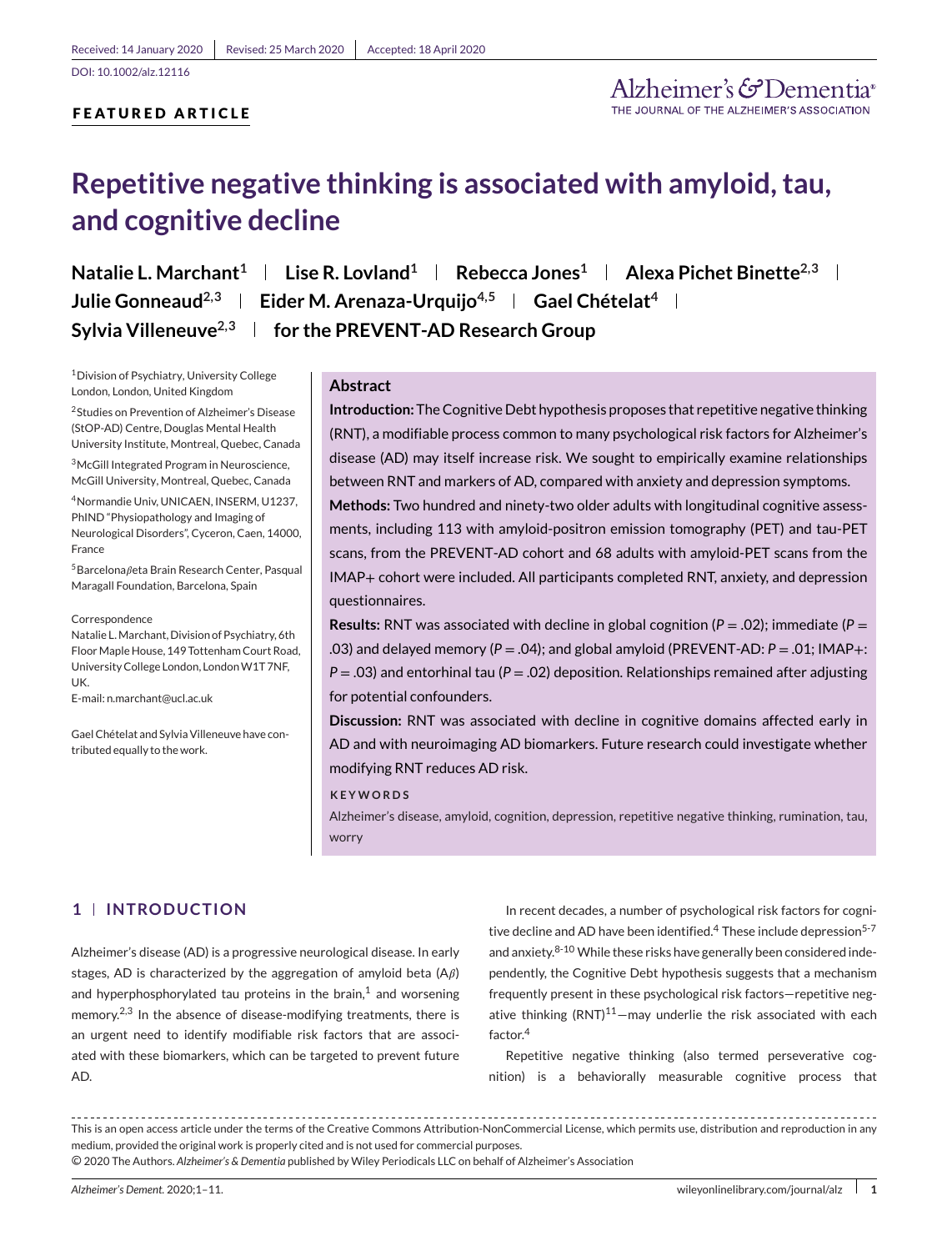# **FEATURED ARTICLE**

Alzheimer's & Dementia

# **Repetitive negative thinking is associated with amyloid, tau, and cognitive decline**

**Natalie L. Marchant<sup>1</sup> | Lise R. Lovland<sup>1</sup> | Rebecca Jones<sup>1</sup> | Alexa Pichet Binette<sup>2,3</sup> | Julie Gonneaud**<sup>2,3</sup> | Eider M. Arenaza-Urquijo<sup>4,5</sup> | Gael Chételat<sup>4</sup> | **Sylvia Villeneuve2,3 for the PREVENT-AD Research Group**

1Division of Psychiatry, University College London, London, United Kingdom

2Studies on Prevention of Alzheimer's Disease (StOP-AD) Centre, Douglas Mental Health University Institute, Montreal, Quebec, Canada

3McGill Integrated Program in Neuroscience, McGill University, Montreal, Quebec, Canada

4Normandie Univ, UNICAEN, INSERM, U1237, PhIND "Physiopathology and Imaging of Neurological Disorders", Cyceron, Caen, 14000, France

 $5B$ arcelona $\beta$ eta Brain Research Center, Pasqual Maragall Foundation, Barcelona, Spain

Correspondence

Natalie L.Marchant, Division of Psychiatry, 6th Floor Maple House, 149 Tottenham Court Road, University College London, London W1T 7NF, UK.

E-mail: n.marchant@ucl.ac.uk

Gael Chételat and Sylvia Villeneuve have contributed equally to the work.

# **Abstract**

**Introduction:** The Cognitive Debt hypothesis proposes that repetitive negative thinking (RNT), a modifiable process common to many psychological risk factors for Alzheimer's disease (AD) may itself increase risk. We sought to empirically examine relationships between RNT and markers of AD, compared with anxiety and depression symptoms.

**Methods:** Two hundred and ninety-two older adults with longitudinal cognitive assessments, including 113 with amyloid-positron emission tomography (PET) and tau-PET scans, from the PREVENT-AD cohort and 68 adults with amyloid-PET scans from the IMAP+ cohort were included. All participants completed RNT, anxiety, and depression questionnaires.

**Results:** RNT was associated with decline in global cognition (*P* = .02); immediate (*P* = .03) and delayed memory (*P* = .04); and global amyloid (PREVENT-AD: *P* = .01; IMAP+: *P* = .03) and entorhinal tau (*P* = .02) deposition. Relationships remained after adjusting for potential confounders.

**Discussion:** RNT was associated with decline in cognitive domains affected early in AD and with neuroimaging AD biomarkers. Future research could investigate whether modifying RNT reduces AD risk.

#### **KEYWORDS**

Alzheimer's disease, amyloid, cognition, depression, repetitive negative thinking, rumination, tau, worry

# **1 INTRODUCTION**

Alzheimer's disease (AD) is a progressive neurological disease. In early stages, AD is characterized by the aggregation of amyloid beta  $(A\beta)$ and hyperphosphorylated tau proteins in the brain, $<sup>1</sup>$  and worsening</sup> memory.<sup>2,3</sup> In the absence of disease-modifying treatments, there is an urgent need to identify modifiable risk factors that are associated with these biomarkers, which can be targeted to prevent future AD.

In recent decades, a number of psychological risk factors for cognitive decline and AD have been identified.<sup>4</sup> These include depression<sup>5-7</sup> and anxiety.<sup>8-10</sup> While these risks have generally been considered independently, the Cognitive Debt hypothesis suggests that a mechanism frequently present in these psychological risk factors—repetitive negative thinking  $(RNT)^{11}$ -may underlie the risk associated with each factor.<sup>4</sup>

Repetitive negative thinking (also termed perseverative cognition) is a behaviorally measurable cognitive process that

This is an open access article under the terms of the [Creative Commons Attribution-NonCommercial](http://creativecommons.org/licenses/by-nc/4.0/) License, which permits use, distribution and reproduction in any medium, provided the original work is properly cited and is not used for commercial purposes. ○c 2020 The Authors. *Alzheimer's & Dementia* published by Wiley Periodicals LLC on behalf of Alzheimer's Association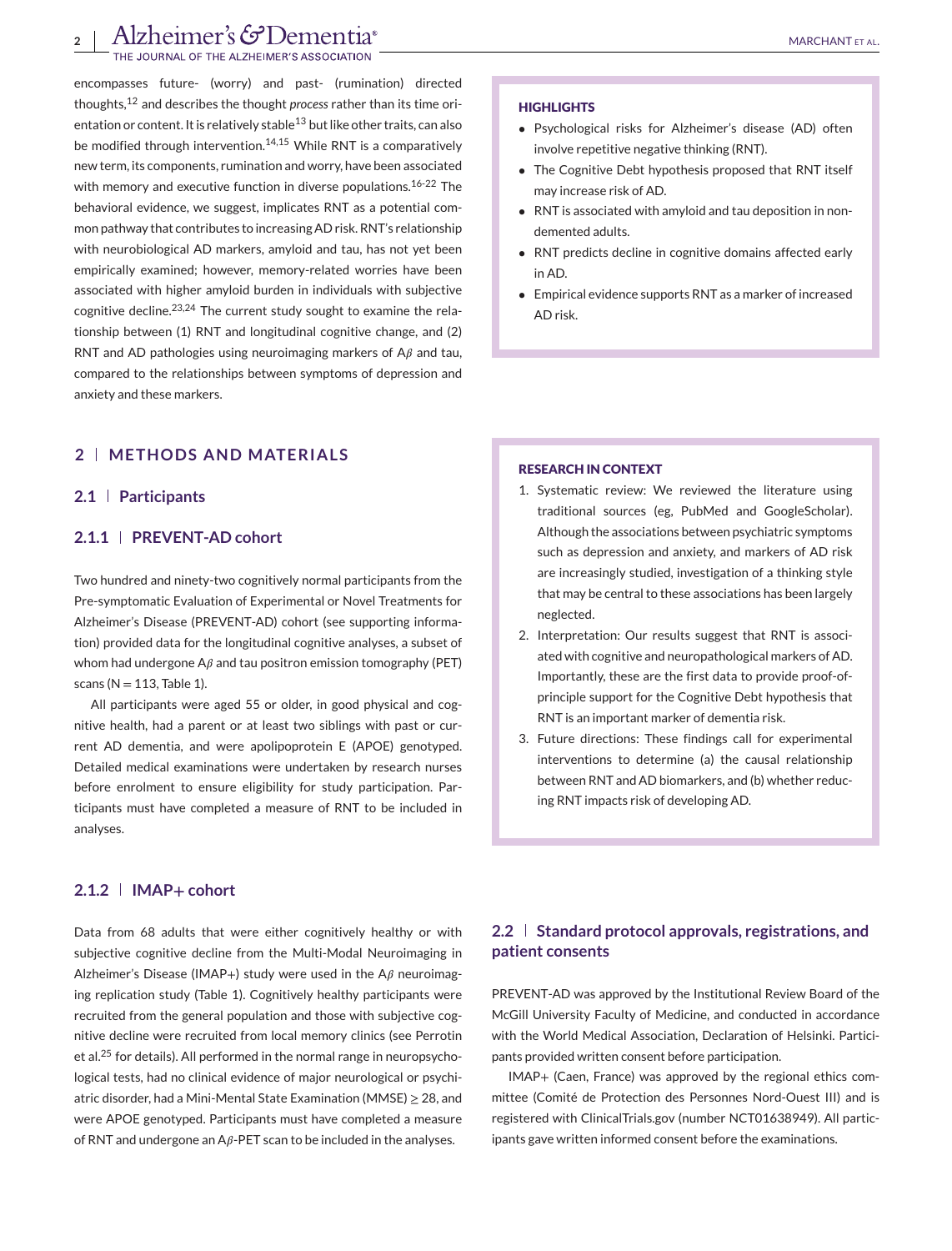# **2** Alzheimer's GDementia®

OF THE ALZHEIMER'S ASSO

encompasses future- (worry) and past- (rumination) directed thoughts,<sup>12</sup> and describes the thought *process* rather than its time orientation or content. It is relatively stable $^{13}$  but like other traits, can also be modified through intervention.<sup>14,15</sup> While RNT is a comparatively new term, its components, rumination and worry, have been associated with memory and executive function in diverse populations.<sup>16-22</sup> The behavioral evidence, we suggest, implicates RNT as a potential common pathway that contributes to increasing AD risk. RNT's relationship with neurobiological AD markers, amyloid and tau, has not yet been empirically examined; however, memory-related worries have been associated with higher amyloid burden in individuals with subjective cognitive decline.<sup>23,24</sup> The current study sought to examine the relationship between (1) RNT and longitudinal cognitive change, and (2) RNT and AD pathologies using neuroimaging markers of  $A\beta$  and tau, compared to the relationships between symptoms of depression and anxiety and these markers.

# **2 METHODS AND MATERIALS**

## **2.1 Participants**

# **2.1.1 PREVENT-AD cohort**

Two hundred and ninety-two cognitively normal participants from the Pre-symptomatic Evaluation of Experimental or Novel Treatments for Alzheimer's Disease (PREVENT-AD) cohort (see supporting information) provided data for the longitudinal cognitive analyses, a subset of whom had undergone  $A\beta$  and tau positron emission tomography (PET) scans ( $N = 113$ . Table 1).

All participants were aged 55 or older, in good physical and cognitive health, had a parent or at least two siblings with past or current AD dementia, and were apolipoprotein E (APOE) genotyped. Detailed medical examinations were undertaken by research nurses before enrolment to ensure eligibility for study participation. Participants must have completed a measure of RNT to be included in analyses.

# **2.1.2 IMAP+ cohort**

Data from 68 adults that were either cognitively healthy or with subjective cognitive decline from the Multi-Modal Neuroimaging in Alzheimer's Disease (IMAP+) study were used in the  $A\beta$  neuroimaging replication study (Table 1). Cognitively healthy participants were recruited from the general population and those with subjective cognitive decline were recruited from local memory clinics (see Perrotin et al.<sup>25</sup> for details). All performed in the normal range in neuropsychological tests, had no clinical evidence of major neurological or psychiatric disorder, had a Mini-Mental State Examination (MMSE) ≥ 28, and were APOE genotyped. Participants must have completed a measure of RNT and undergone an A $\beta$ -PET scan to be included in the analyses.

#### **HIGHLIGHTS**

- Psychological risks for Alzheimer's disease (AD) often involve repetitive negative thinking (RNT).
- The Cognitive Debt hypothesis proposed that RNT itself may increase risk of AD.
- RNT is associated with amyloid and tau deposition in nondemented adults.
- RNT predicts decline in cognitive domains affected early in AD.
- Empirical evidence supports RNT as a marker of increased AD risk.

#### **RESEARCH IN CONTEXT**

- 1. Systematic review: We reviewed the literature using traditional sources (eg, PubMed and GoogleScholar). Although the associations between psychiatric symptoms such as depression and anxiety, and markers of AD risk are increasingly studied, investigation of a thinking style that may be central to these associations has been largely neglected.
- 2. Interpretation: Our results suggest that RNT is associated with cognitive and neuropathological markers of AD. Importantly, these are the first data to provide proof-ofprinciple support for the Cognitive Debt hypothesis that RNT is an important marker of dementia risk.
- 3. Future directions: These findings call for experimental interventions to determine (a) the causal relationship between RNT and AD biomarkers, and (b) whether reducing RNT impacts risk of developing AD.

# **2.2 Standard protocol approvals, registrations, and patient consents**

PREVENT-AD was approved by the Institutional Review Board of the McGill University Faculty of Medicine, and conducted in accordance with the World Medical Association, Declaration of Helsinki. Participants provided written consent before participation.

IMAP+ (Caen, France) was approved by the regional ethics committee (Comité de Protection des Personnes Nord-Ouest III) and is registered with ClinicalTrials.gov (number NCT01638949). All participants gave written informed consent before the examinations.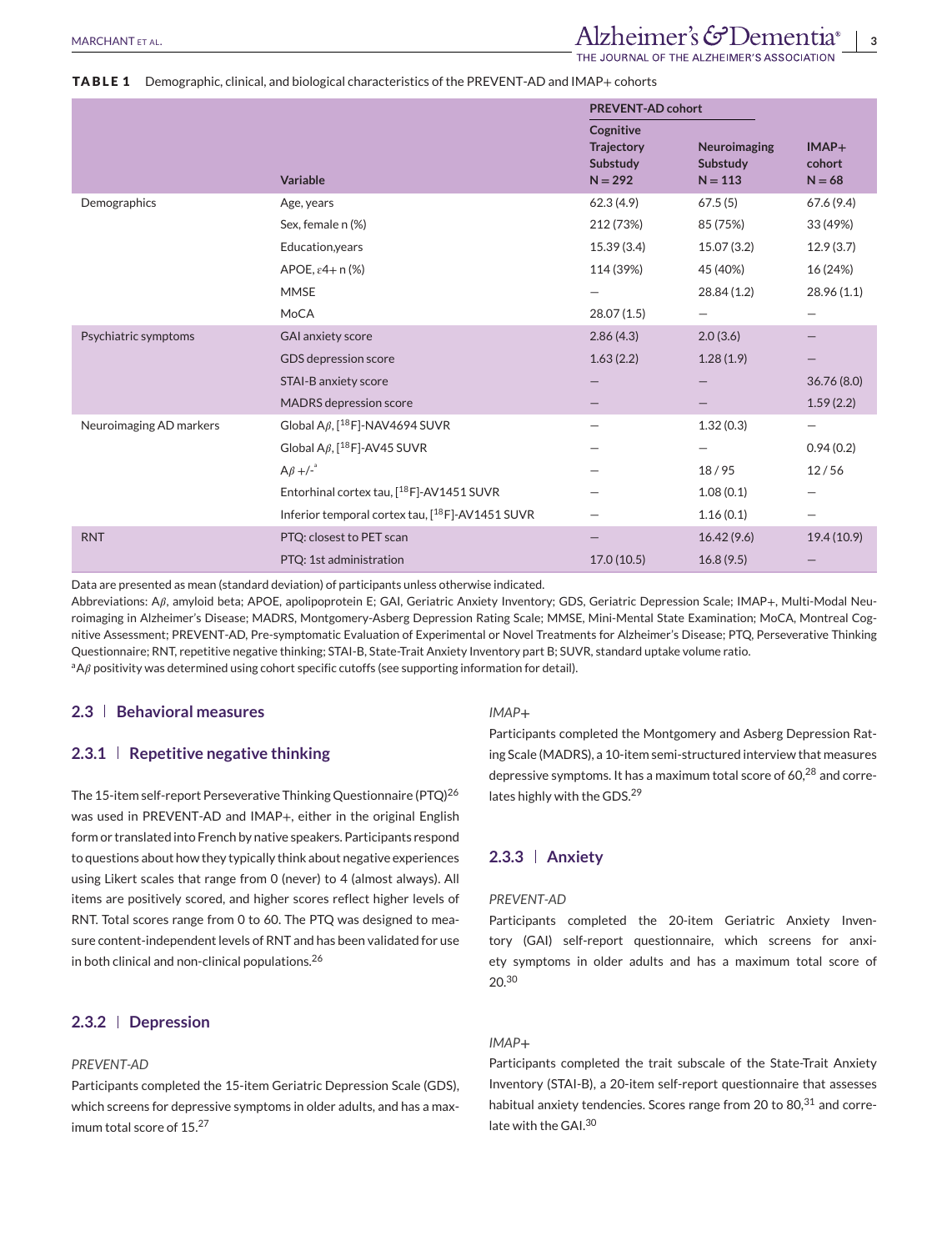# **TABLE 1** Demographic, clinical, and biological characteristics of the PREVENT-AD and IMAP+ cohorts

|                         |                                                       | <b>PREVENT-AD cohort</b>                                |                                       |                               |
|-------------------------|-------------------------------------------------------|---------------------------------------------------------|---------------------------------------|-------------------------------|
|                         | <b>Variable</b>                                       | Cognitive<br><b>Trajectory</b><br>Substudy<br>$N = 292$ | Neuroimaging<br>Substudy<br>$N = 113$ | $IMAP+$<br>cohort<br>$N = 68$ |
| Demographics            | Age, years                                            | 62.3(4.9)                                               | 67.5(5)                               | 67.6(9.4)                     |
|                         | Sex, female n (%)                                     | 212 (73%)                                               | 85 (75%)                              | 33 (49%)                      |
|                         | Education, years                                      | 15.39 (3.4)                                             | 15.07 (3.2)                           | 12.9(3.7)                     |
|                         | APOE, $\varepsilon$ 4+ n (%)                          | 114 (39%)                                               | 45 (40%)                              | 16 (24%)                      |
|                         | <b>MMSE</b>                                           | -                                                       | 28.84(1.2)                            | 28.96 (1.1)                   |
|                         | MoCA                                                  | 28.07(1.5)                                              | $\qquad \qquad$                       |                               |
| Psychiatric symptoms    | <b>GAI anxiety score</b>                              | 2.86(4.3)                                               | 2.0(3.6)                              |                               |
|                         | GDS depression score                                  | 1.63(2.2)                                               | 1.28(1.9)                             |                               |
|                         | <b>STAI-B anxiety score</b>                           |                                                         |                                       | 36.76(8.0)                    |
|                         | <b>MADRS</b> depression score                         |                                                         |                                       | 1.59(2.2)                     |
| Neuroimaging AD markers | Global A $\beta$ , [ <sup>18</sup> F]-NAV4694 SUVR    |                                                         | 1.32(0.3)                             | -                             |
|                         | Global A $\beta$ , [ <sup>18</sup> F]-AV45 SUVR       |                                                         |                                       | 0.94(0.2)                     |
|                         | $A\beta +1^{-\alpha}$                                 |                                                         | 18/95                                 | 12/56                         |
|                         | Entorhinal cortex tau, [ <sup>18</sup> F]-AV1451 SUVR |                                                         | 1.08(0.1)                             |                               |
|                         | Inferior temporal cortex tau, [18F]-AV1451 SUVR       |                                                         | 1.16(0.1)                             | —                             |
| <b>RNT</b>              | PTQ: closest to PET scan                              |                                                         | 16.42(9.6)                            | 19.4(10.9)                    |
|                         | PTQ: 1st administration                               | 17.0(10.5)                                              | 16.8(9.5)                             |                               |

Data are presented as mean (standard deviation) of participants unless otherwise indicated.

Abbreviations: A $\beta$ , amyloid beta; APOE, apolipoprotein E; GAI, Geriatric Anxiety Inventory; GDS, Geriatric Depression Scale; IMAP+, Multi-Modal Neuroimaging in Alzheimer's Disease; MADRS, Montgomery-Asberg Depression Rating Scale; MMSE, Mini-Mental State Examination; MoCA, Montreal Cognitive Assessment; PREVENT-AD, Pre-symptomatic Evaluation of Experimental or Novel Treatments for Alzheimer's Disease; PTQ, Perseverative Thinking Questionnaire; RNT, repetitive negative thinking; STAI-B, State-Trait Anxiety Inventory part B; SUVR, standard uptake volume ratio. <sup>a</sup>A $\beta$  positivity was determined using cohort specific cutoffs (see supporting information for detail).

# **2.3 Behavioral measures**

#### **2.3.1 Repetitive negative thinking**

The 15-item self-report Perseverative Thinking Questionnaire (PTQ)<sup>26</sup> was used in PREVENT-AD and IMAP+, either in the original English form or translated into French by native speakers. Participants respond to questions about how they typically think about negative experiences using Likert scales that range from 0 (never) to 4 (almost always). All items are positively scored, and higher scores reflect higher levels of RNT. Total scores range from 0 to 60. The PTQ was designed to measure content-independent levels of RNT and has been validated for use in both clinical and non-clinical populations.<sup>26</sup>

#### **2.3.2 Depression**

#### *PREVENT-AD*

Participants completed the 15-item Geriatric Depression Scale (GDS), which screens for depressive symptoms in older adults, and has a maximum total score of 15.<sup>27</sup>

## *IMAP***+**

Participants completed the Montgomery and Asberg Depression Rating Scale (MADRS), a 10-item semi-structured interview that measures depressive symptoms. It has a maximum total score of 60,<sup>28</sup> and correlates highly with the GDS.<sup>29</sup>

# **2.3.3 Anxiety**

#### *PREVENT-AD*

Participants completed the 20-item Geriatric Anxiety Inventory (GAI) self-report questionnaire, which screens for anxiety symptoms in older adults and has a maximum total score of 20.<sup>30</sup>

# *IMAP***+**

Participants completed the trait subscale of the State-Trait Anxiety Inventory (STAI-B), a 20-item self-report questionnaire that assesses habitual anxiety tendencies. Scores range from 20 to  $80<sup>31</sup>$  and correlate with the GAI.<sup>30</sup>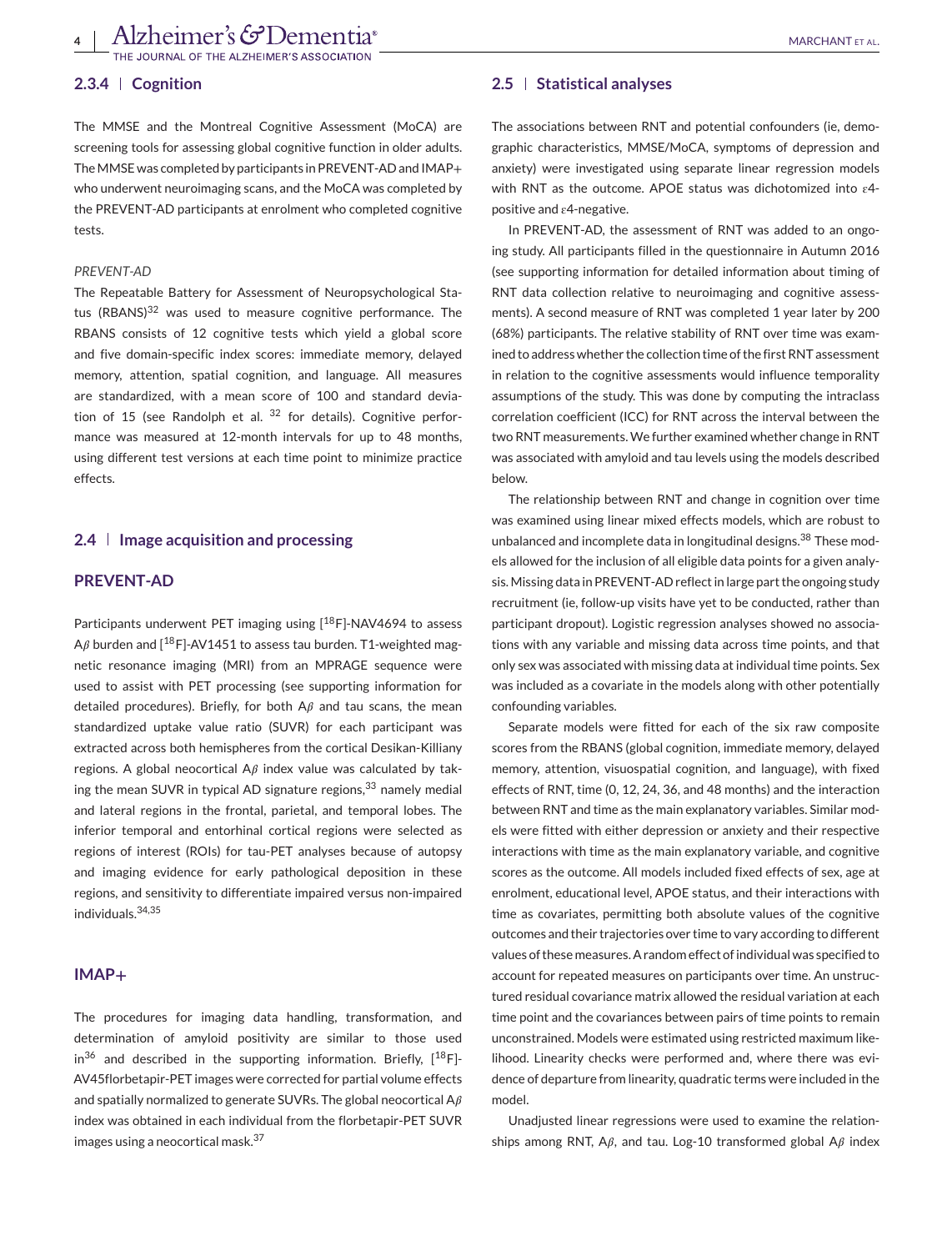**4** | Alzheimer's GDementia<sup>®</sup><br>THE JOURNAL OF THE ALZHEIMER'S ASSOCIATION

#### **2.3.4 Cognition**

The MMSE and the Montreal Cognitive Assessment (MoCA) are screening tools for assessing global cognitive function in older adults. The MMSE was completed by participants in PREVENT-AD and IMAP+ who underwent neuroimaging scans, and the MoCA was completed by the PREVENT-AD participants at enrolment who completed cognitive tests.

#### *PREVENT-AD*

The Repeatable Battery for Assessment of Neuropsychological Status (RBANS)<sup>32</sup> was used to measure cognitive performance. The RBANS consists of 12 cognitive tests which yield a global score and five domain-specific index scores: immediate memory, delayed memory, attention, spatial cognition, and language. All measures are standardized, with a mean score of 100 and standard deviation of 15 (see Randolph et al.  $32$  for details). Cognitive performance was measured at 12-month intervals for up to 48 months, using different test versions at each time point to minimize practice effects.

# **2.4 Image acquisition and processing**

# **PREVENT-AD**

Participants underwent PET imaging using [18F]-NAV4694 to assess A $\beta$  burden and [<sup>18</sup>F]-AV1451 to assess tau burden. T1-weighted magnetic resonance imaging (MRI) from an MPRAGE sequence were used to assist with PET processing (see supporting information for detailed procedures). Briefly, for both  $A\beta$  and tau scans, the mean standardized uptake value ratio (SUVR) for each participant was extracted across both hemispheres from the cortical Desikan-Killiany regions. A global neocortical  $A\beta$  index value was calculated by taking the mean SUVR in typical AD signature regions,  $33$  namely medial and lateral regions in the frontal, parietal, and temporal lobes. The inferior temporal and entorhinal cortical regions were selected as regions of interest (ROIs) for tau-PET analyses because of autopsy and imaging evidence for early pathological deposition in these regions, and sensitivity to differentiate impaired versus non-impaired individuals.34,35

#### **IMAP+**

The procedures for imaging data handling, transformation, and determination of amyloid positivity are similar to those used  $in^{36}$  and described in the supporting information. Briefly,  $[18F]$ -AV45florbetapir-PET images were corrected for partial volume effects and spatially normalized to generate SUVRs. The global neocortical  $A\beta$ index was obtained in each individual from the florbetapir-PET SUVR images using a neocortical mask.<sup>37</sup>

#### **2.5 Statistical analyses**

The associations between RNT and potential confounders (ie, demographic characteristics, MMSE/MoCA, symptoms of depression and anxiety) were investigated using separate linear regression models with RNT as the outcome. APOE status was dichotomized into  $\varepsilon$ 4positive and  $\varepsilon$ 4-negative.

In PREVENT-AD, the assessment of RNT was added to an ongoing study. All participants filled in the questionnaire in Autumn 2016 (see supporting information for detailed information about timing of RNT data collection relative to neuroimaging and cognitive assessments). A second measure of RNT was completed 1 year later by 200 (68%) participants. The relative stability of RNT over time was examined to address whether the collection time of the first RNT assessment in relation to the cognitive assessments would influence temporality assumptions of the study. This was done by computing the intraclass correlation coefficient (ICC) for RNT across the interval between the two RNT measurements. We further examined whether change in RNT was associated with amyloid and tau levels using the models described below.

The relationship between RNT and change in cognition over time was examined using linear mixed effects models, which are robust to unbalanced and incomplete data in longitudinal designs.<sup>38</sup> These models allowed for the inclusion of all eligible data points for a given analysis. Missing data in PREVENT-AD reflect in large part the ongoing study recruitment (ie, follow-up visits have yet to be conducted, rather than participant dropout). Logistic regression analyses showed no associations with any variable and missing data across time points, and that only sex was associated with missing data at individual time points. Sex was included as a covariate in the models along with other potentially confounding variables.

Separate models were fitted for each of the six raw composite scores from the RBANS (global cognition, immediate memory, delayed memory, attention, visuospatial cognition, and language), with fixed effects of RNT, time (0, 12, 24, 36, and 48 months) and the interaction between RNT and time as the main explanatory variables. Similar models were fitted with either depression or anxiety and their respective interactions with time as the main explanatory variable, and cognitive scores as the outcome. All models included fixed effects of sex, age at enrolment, educational level, APOE status, and their interactions with time as covariates, permitting both absolute values of the cognitive outcomes and their trajectories over time to vary according to different values of these measures. A random effect of individual was specified to account for repeated measures on participants over time. An unstructured residual covariance matrix allowed the residual variation at each time point and the covariances between pairs of time points to remain unconstrained. Models were estimated using restricted maximum likelihood. Linearity checks were performed and, where there was evidence of departure from linearity, quadratic terms were included in the model.

Unadjusted linear regressions were used to examine the relationships among RNT, A $\beta$ , and tau. Log-10 transformed global A $\beta$  index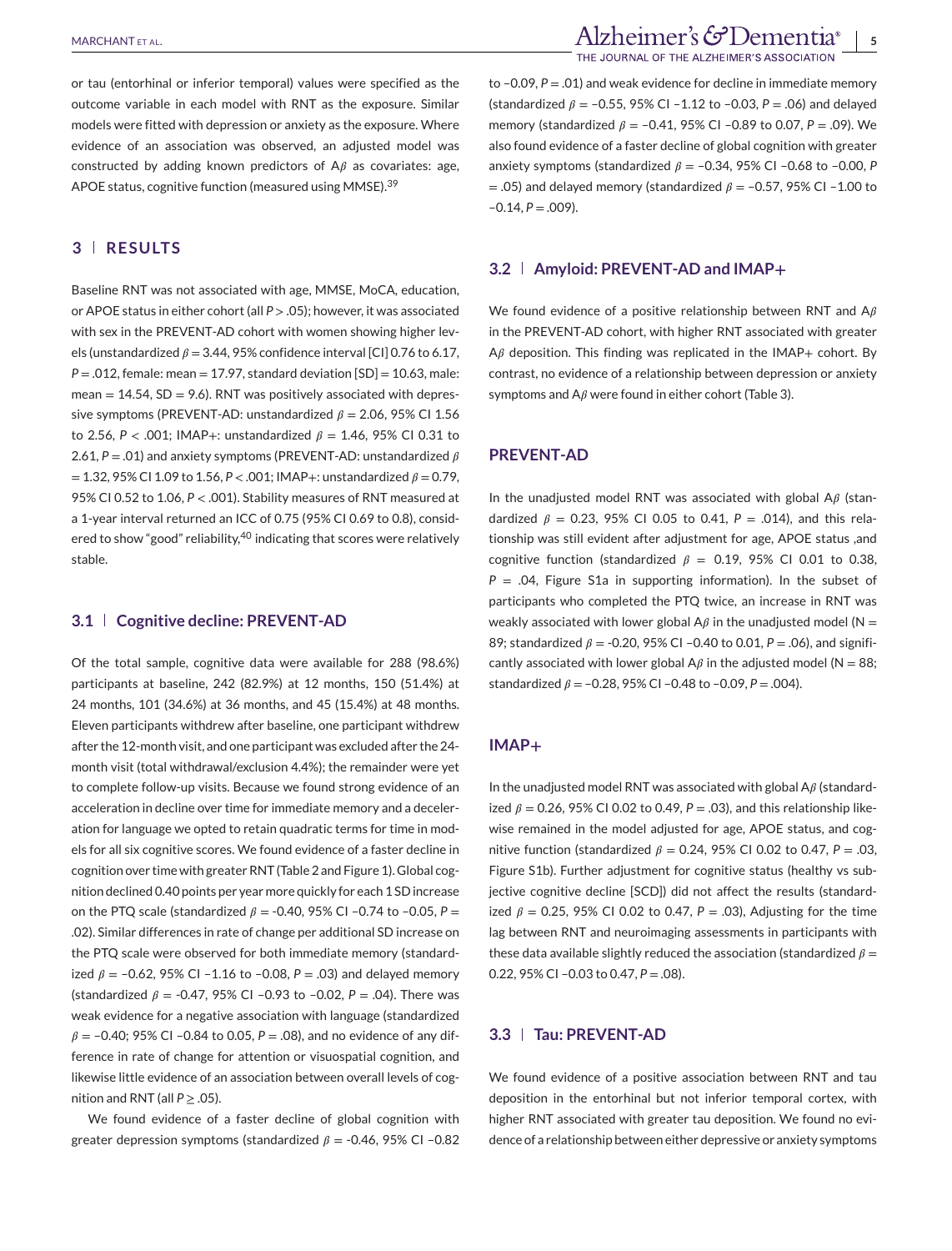or tau (entorhinal or inferior temporal) values were specified as the outcome variable in each model with RNT as the exposure. Similar models were fitted with depression or anxiety as the exposure. Where evidence of an association was observed, an adjusted model was constructed by adding known predictors of  $A\beta$  as covariates: age, APOE status, cognitive function (measured using MMSE).<sup>39</sup>

# **3 RESULTS**

Baseline RNT was not associated with age, MMSE, MoCA, education, or APOE status in either cohort (all *P* > .05); however, it was associated with sex in the PREVENT-AD cohort with women showing higher levels (unstandardized  $\beta$  = 3.44, 95% confidence interval [CI] 0.76 to 6.17, *P* = .012, female: mean = 17.97, standard deviation [SD] = 10.63, male: mean  $= 14.54$ , SD  $= 9.6$ ). RNT was positively associated with depressive symptoms (PREVENT-AD: unstandardized  $\beta = 2.06$ , 95% CI 1.56 to 2.56,  $P < .001$ ; IMAP+: unstandardized  $\beta = 1.46$ , 95% CI 0.31 to 2.61,  $P = .01$ ) and anxiety symptoms (PREVENT-AD: unstandardized  $\beta$  $= 1.32, 95\%$  CI 1.09 to 1.56,  $P < .001$ ; IMAP+: unstandardized  $\beta = 0.79$ , 95% CI 0.52 to 1.06, *P* < .001). Stability measures of RNT measured at a 1-year interval returned an ICC of 0.75 (95% CI 0.69 to 0.8), considered to show "good" reliability,<sup>40</sup> indicating that scores were relatively stable.

#### **3.1 Cognitive decline: PREVENT-AD**

Of the total sample, cognitive data were available for 288 (98.6%) participants at baseline, 242 (82.9%) at 12 months, 150 (51.4%) at 24 months, 101 (34.6%) at 36 months, and 45 (15.4%) at 48 months. Eleven participants withdrew after baseline, one participant withdrew after the 12-month visit, and one participant was excluded after the 24 month visit (total withdrawal/exclusion 4.4%); the remainder were yet to complete follow-up visits. Because we found strong evidence of an acceleration in decline over time for immediate memory and a deceleration for language we opted to retain quadratic terms for time in models for all six cognitive scores. We found evidence of a faster decline in cognition over time with greater RNT (Table 2 and Figure 1). Global cognition declined 0.40 points per year more quickly for each 1 SD increase on the PTQ scale (standardized  $\beta$  = -0.40, 95% CI -0.74 to -0.05, P = .02). Similar differences in rate of change per additional SD increase on the PTQ scale were observed for both immediate memory (standardized  $\beta$  = -0.62, 95% CI -1.16 to -0.08, P = .03) and delayed memory (standardized  $\beta$  = -0.47, 95% CI -0.93 to -0.02,  $P = .04$ ). There was weak evidence for a negative association with language (standardized  $\beta$  = -0.40; 95% CI -0.84 to 0.05, P = .08), and no evidence of any difference in rate of change for attention or visuospatial cognition, and likewise little evidence of an association between overall levels of cognition and RNT (all  $P \geq .05$ ).

We found evidence of a faster decline of global cognition with greater depression symptoms (standardized  $\beta$  = -0.46, 95% CI -0.82 to –0.09, *P* = .01) and weak evidence for decline in immediate memory (standardized  $\beta = -0.55$ , 95% CI -1.12 to -0.03, P = .06) and delayed memory (standardized  $\beta$  = -0.41, 95% CI -0.89 to 0.07, P = .09). We also found evidence of a faster decline of global cognition with greater anxiety symptoms (standardized  $\beta$  = -0.34, 95% CI -0.68 to -0.00, P  $= .05$ ) and delayed memory (standardized  $\beta = -0.57$ , 95% CI -1.00 to  $-0.14, P = .009$ ).

#### **3.2 Amyloid: PREVENT-AD and IMAP+**

We found evidence of a positive relationship between RNT and  $A\beta$ in the PREVENT-AD cohort, with higher RNT associated with greater  $A\beta$  deposition. This finding was replicated in the IMAP+ cohort. By contrast, no evidence of a relationship between depression or anxiety symptoms and  $A\beta$  were found in either cohort (Table 3).

### **PREVENT-AD**

In the unadjusted model RNT was associated with global  $A\beta$  (standardized  $\beta$  = 0.23, 95% CI 0.05 to 0.41, P = .014), and this relationship was still evident after adjustment for age, APOE status ,and cognitive function (standardized  $\beta$  = 0.19, 95% CI 0.01 to 0.38, *P* = .04, Figure S1a in supporting information). In the subset of participants who completed the PTQ twice, an increase in RNT was weakly associated with lower global  $A\beta$  in the unadjusted model (N = 89; standardized  $\beta$  = -0.20, 95% CI -0.40 to 0.01, P = .06), and significantly associated with lower global A $\beta$  in the adjusted model (N = 88; standardized  $\beta = -0.28$ , 95% CI -0.48 to -0.09, P = .004).

#### **IMAP+**

In the unadjusted model RNT was associated with global  $A\beta$  (standardized  $\beta$  = 0.26, 95% CI 0.02 to 0.49,  $P = .03$ ), and this relationship likewise remained in the model adjusted for age, APOE status, and cognitive function (standardized  $\beta$  = 0.24, 95% CI 0.02 to 0.47, P = .03, Figure S1b). Further adjustment for cognitive status (healthy vs subjective cognitive decline [SCD]) did not affect the results (standardized  $\beta$  = 0.25, 95% CI 0.02 to 0.47, P = .03), Adjusting for the time lag between RNT and neuroimaging assessments in participants with these data available slightly reduced the association (standardized  $\beta =$ 0.22, 95% CI –0.03 to 0.47, *P* = .08).

# **3.3 Tau: PREVENT-AD**

We found evidence of a positive association between RNT and tau deposition in the entorhinal but not inferior temporal cortex, with higher RNT associated with greater tau deposition. We found no evidence of a relationship between either depressive or anxiety symptoms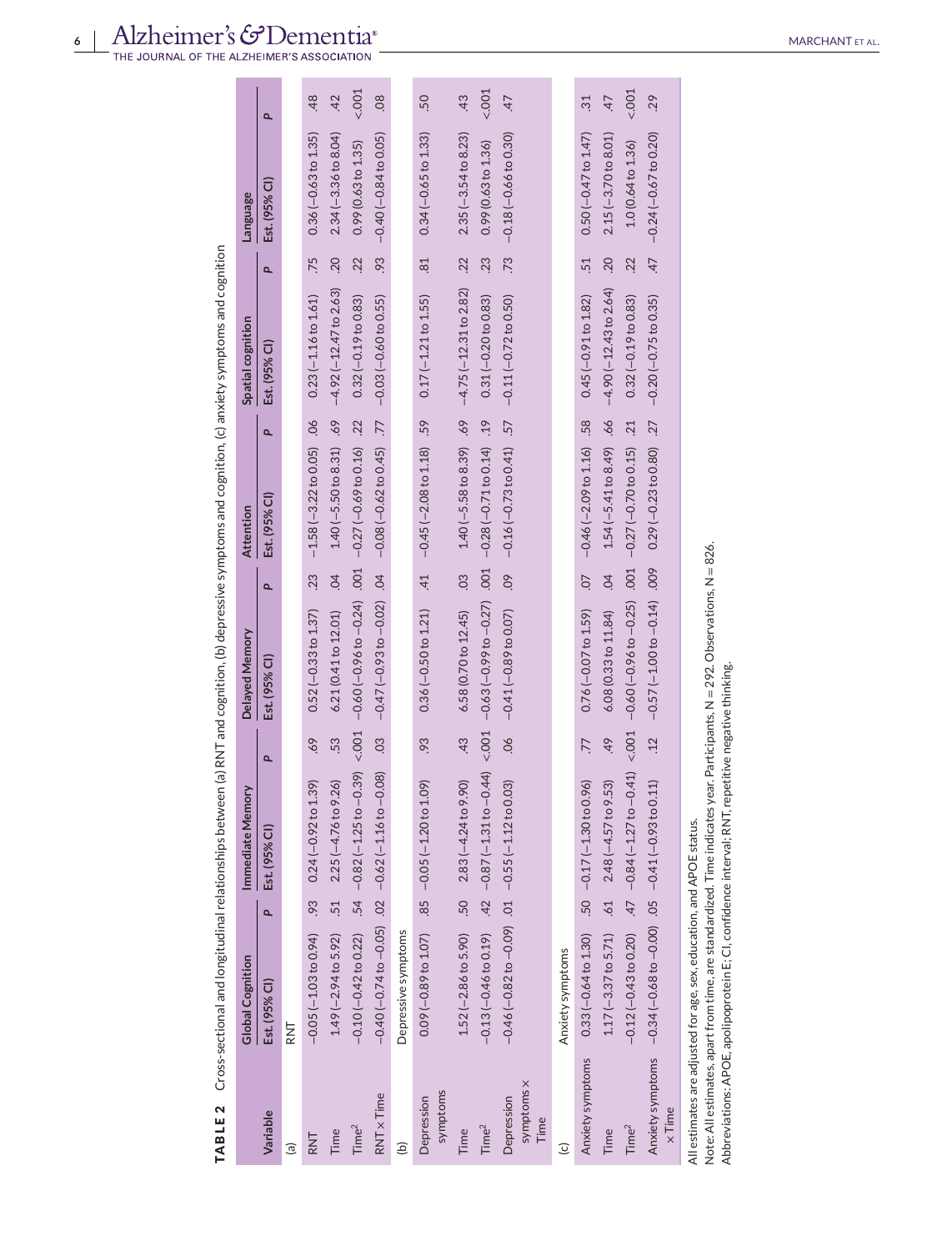**TABLE 2** Cross-sectional and longitudinal relationships between (a) RNT and cognition, (b) depressive symptoms and cognition, (c) anxiety symptoms and cognition

TABLE 2 Cross-sectional and longitudinal relationships between (a) RNT and cognition, (b) depressive symptoms and cognition, (c) anxiety symptoms and cognition

|                                  | Global Cognition                                                     |     | Immediate Memory                                                                                   |                       | Delayed Memory                                                                                                             |                | <b>Attention</b>                                               | Spatial cognition              |                 | <b>Language</b>        |                |
|----------------------------------|----------------------------------------------------------------------|-----|----------------------------------------------------------------------------------------------------|-----------------------|----------------------------------------------------------------------------------------------------------------------------|----------------|----------------------------------------------------------------|--------------------------------|-----------------|------------------------|----------------|
| Variable                         | Est. (95% CI)                                                        | Q,  | Est. (95% CI)                                                                                      | P                     | Est. (95% CI)                                                                                                              | Q,             | Q,<br>Est. (95% CI)                                            | Est. (95% CI)                  | Q,              | Est. (95% CI)          | $\overline{a}$ |
| $\widehat{a}$                    | RNT                                                                  |     |                                                                                                    |                       |                                                                                                                            |                |                                                                |                                |                 |                        |                |
| RNT                              | $-0.05(-1.03$ to $0.94$ )                                            |     | .39)<br>$.93$ 0.24 (-0.92 to 1                                                                     | 69.                   | $0.52(-0.33$ to $1.37)$                                                                                                    | .<br>23        | $-1.58(-3.22 \text{ to } 0.05)$ .06                            | $0.23(-1.16 to 1.61)$          | .75             | $0.36(-0.63 to 1.35)$  | 48             |
| Time                             | $1.49(-2.94$ to $5.92)$                                              | .51 | $2.25(-4.76 to 9.26)$                                                                              | 53.                   | 6.21 (0.41 to 12.01)                                                                                                       | $\overline{6}$ | .69<br>$1.40 (-5.50 to 8.31)$                                  | $-4.92$ ( $-12.47$ to 2.63)    | .20             | $2.34(-3.36$ to 8.04)  | 42             |
| Time <sup>2</sup>                | $-0.10$ $(-0.42$ to 0.22)                                            |     | .54 $-0.82 (-1.25 to -0.39) < 0.001$                                                               |                       | $-0.60(-0.96 to -0.24)$                                                                                                    | .001           | .22<br>$-0.27$ ( $-0.69$ to 0.16)                              | $0.32(-0.19$ to $0.83)$        | 22              | 0.99(0.63 to 1.35)     | < .001         |
| RNT x Time                       |                                                                      |     | $-0.40 (-0.74 to -0.05)$ .02 $-0.62 (-1.16 to -0.08)$                                              | $\overline{\text{C}}$ | $-0.47(-0.93 to -0.02)$                                                                                                    | $\overline{6}$ | $\overline{77}$<br>$-0.08 (-0.62 to 0.45)$                     | $-0.03(-0.60 to 0.55)$         | .93             | $-0.40(-0.84$ to 0.05) | 08             |
| ê                                | Depressive symptoms                                                  |     |                                                                                                    |                       |                                                                                                                            |                |                                                                |                                |                 |                        |                |
| symptoms<br>Depression           | $0.09 (-0.89 to 1.07)$                                               |     | (60)<br>$.85 -0.05 (-1.20 to 1$                                                                    | .93                   | $0.36 (-0.50 to 1.21)$                                                                                                     | $-41$          | $-0.45$ $(-2.08$ to 1.18) .59                                  | $0.17 (-1.21 to 1.55)$         | $\overline{81}$ | $0.34 (-0.65 to 1.33)$ | 50             |
| Time                             |                                                                      |     | $1.52$ (-2.86 to 5.90) $.50$ $2.83$ (-4.24 to 9.90)                                                | $-43$                 | 6.58 (0.70 to 12.45)                                                                                                       | $\overline{0}$ | $1.40 (-5.58 \text{ to } 8.39)$ .69 -4.75 (-12.31 to 2.82) .22 |                                |                 | $2.35(-3.54 to 8.23)$  | 43             |
| Time <sup>2</sup>                | $-0.13(-0.46 to 0.19)$                                               |     | $.42 -0.87(-1.31$ to $-0.44$ )                                                                     | < .001                | $-0.63(-0.99 to -0.27)$                                                                                                    | .001           | .19<br>$-0.28$ $(-0.71$ to 0.14)                               | $0.31 (-0.20 to 0.83)$         | .23             | 0.99(0.63 to 1.36)     | < .001         |
| symptoms x<br>Depression<br>Time | $-0.46$ ( $-0.82$ to $-0.09$ ) $0.1 - 0.55$ ( $-1.12$ to 0.03)       |     |                                                                                                    | $90$ .                | $-0.41(-0.89$ to 0.07)                                                                                                     | $\overline{0}$ | .57<br>$-0.16(-0.73$ to 0.41)                                  | $-0.11(-0.72$ to 0.50)         | .73             | $-0.18(-0.66 to 0.30)$ | 47             |
| $\overline{c}$                   | Anxiety symptoms                                                     |     |                                                                                                    |                       |                                                                                                                            |                |                                                                |                                |                 |                        |                |
| Anxiety symptoms                 | $0.33(-0.64$ to $1.30)$                                              |     | $-50 -0.17 (-1.30 to 0.96)$                                                                        | 77                    | $0.76(-0.07 to 1.59)$                                                                                                      | $-20$          | $-0.46$ $(-2.09$ to 1.16) .58                                  | $0.45 (-0.91 to 1.82)$         | $\overline{51}$ | $0.50 (-0.47 to 1.47)$ | $\ddot{3}$     |
| Time                             | $1.17 (-3.37 to 5.71)$                                               |     | (53)<br>$.61$ 2.48 $(-4.57)$                                                                       | 49                    | 6.08 (0.33 to 11.84)                                                                                                       | $\overline{6}$ | .66<br>$1.54 (-5.41 to 8.49)$                                  | $-4.90$ ( $-12.43$ to $2.64$ ) | .20             | $2.15(-3.70 to 8.01)$  | 47             |
| Time <sup>2</sup>                | $-0.12(-0.43$ to 0.20)                                               |     | $.47 -0.84 (-1.27 to -0.41)$                                                                       | 001                   | $-0.60$ ( $-0.96$ to $-0.25$ )                                                                                             | .001           | 21<br>$-0.27$ ( $-0.70$ to 0.15)                               | $0.32(-0.19$ to $0.83)$        | .22             | 1.0(0.64 to 1.36)      | < .001         |
| $\times$ Time                    | Anxiety symptoms -0.34 (-0.68 to -0.00) .05 -0.41 (-0.93 to 0.11)    |     |                                                                                                    | .12                   | $-0.57(-1.00 to -0.14)$                                                                                                    | .009           | $0.29 (-0.23 to 0.80)$ .27                                     | $-0.20$ ( $-0.75$ to 0.35)     | $\dot{4}$       | $-0.24(-0.67$ to 0.20) | 29             |
|                                  | All estimates are adjusted for age, sex, education, and APOE status. |     | Abbreviations: APOE, apolipoprotein E; CI, confidence interval; RNT, repetitive negative thinking. |                       | Note: All estimates, apart from time, are standardized. Time indicates year. Participants, N = 292. Observations, N = 826. |                |                                                                |                                |                 |                        |                |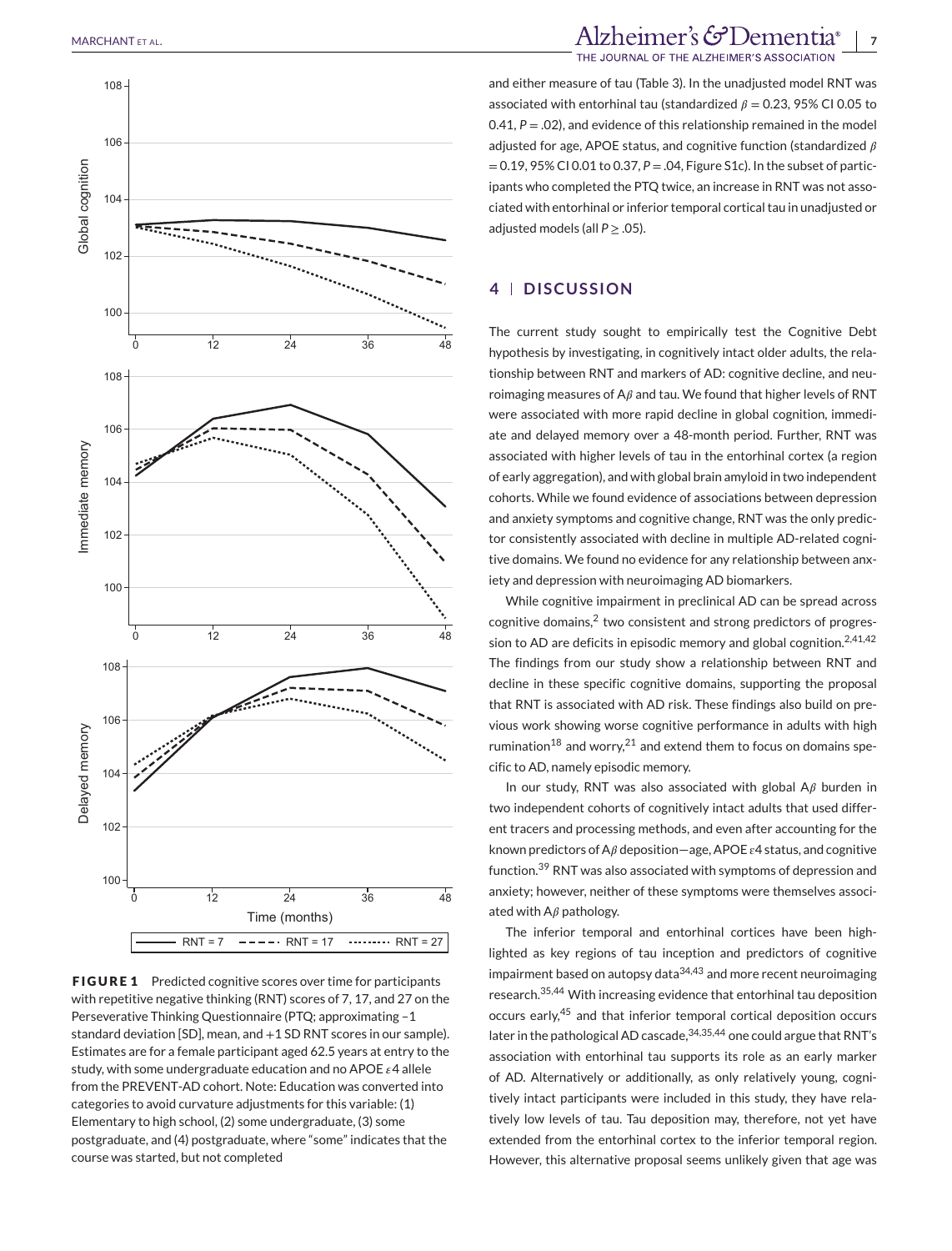

**FIGURE 1** Predicted cognitive scores over time for participants with repetitive negative thinking (RNT) scores of 7, 17, and 27 on the Perseverative Thinking Questionnaire (PTQ; approximating –1 standard deviation [SD], mean, and +1 SD RNT scores in our sample). Estimates are for a female participant aged 62.5 years at entry to the study, with some undergraduate education and no APOE  $\epsilon$ 4 allele from the PREVENT-AD cohort. Note: Education was converted into categories to avoid curvature adjustments for this variable: (1) Elementary to high school, (2) some undergraduate, (3) some postgraduate, and (4) postgraduate, where "some" indicates that the course was started, but not completed

MARCHANT ET AL. **7** MARCHANT ET AL.

and either measure of tau (Table 3). In the unadjusted model RNT was associated with entorhinal tau (standardized  $\beta = 0.23$ , 95% CI 0.05 to 0.41,  $P = 0.02$ ), and evidence of this relationship remained in the model adjusted for age, APOE status, and cognitive function (standardized  $\beta$ = 0.19, 95% CI 0.01 to 0.37, *P* = .04, Figure S1c). In the subset of participants who completed the PTQ twice, an increase in RNT was not associated with entorhinal or inferior temporal cortical tau in unadjusted or adjusted models (all  $P > .05$ ).

# **4 DISCUSSION**

The current study sought to empirically test the Cognitive Debt hypothesis by investigating, in cognitively intact older adults, the relationship between RNT and markers of AD: cognitive decline, and neuroimaging measures of A $\beta$  and tau. We found that higher levels of RNT were associated with more rapid decline in global cognition, immediate and delayed memory over a 48-month period. Further, RNT was associated with higher levels of tau in the entorhinal cortex (a region of early aggregation), and with global brain amyloid in two independent cohorts. While we found evidence of associations between depression and anxiety symptoms and cognitive change, RNT was the only predictor consistently associated with decline in multiple AD-related cognitive domains. We found no evidence for any relationship between anxiety and depression with neuroimaging AD biomarkers.

While cognitive impairment in preclinical AD can be spread across cognitive domains, $2$  two consistent and strong predictors of progression to AD are deficits in episodic memory and global cognition.<sup>2,41,42</sup> The findings from our study show a relationship between RNT and decline in these specific cognitive domains, supporting the proposal that RNT is associated with AD risk. These findings also build on previous work showing worse cognitive performance in adults with high rumination<sup>18</sup> and worry,<sup>21</sup> and extend them to focus on domains specific to AD, namely episodic memory.

In our study, RNT was also associated with global  $A\beta$  burden in two independent cohorts of cognitively intact adults that used different tracers and processing methods, and even after accounting for the known predictors of A $\beta$  deposition—age, APOE  $\epsilon$ 4 status, and cognitive function.<sup>39</sup> RNT was also associated with symptoms of depression and anxiety; however, neither of these symptoms were themselves associated with  $A\beta$  pathology.

The inferior temporal and entorhinal cortices have been highlighted as key regions of tau inception and predictors of cognitive impairment based on autopsy data $34,43$  and more recent neuroimaging research.35,44 With increasing evidence that entorhinal tau deposition occurs early,<sup>45</sup> and that inferior temporal cortical deposition occurs later in the pathological AD cascade, 34,35,44 one could argue that RNT's association with entorhinal tau supports its role as an early marker of AD. Alternatively or additionally, as only relatively young, cognitively intact participants were included in this study, they have relatively low levels of tau. Tau deposition may, therefore, not yet have extended from the entorhinal cortex to the inferior temporal region. However, this alternative proposal seems unlikely given that age was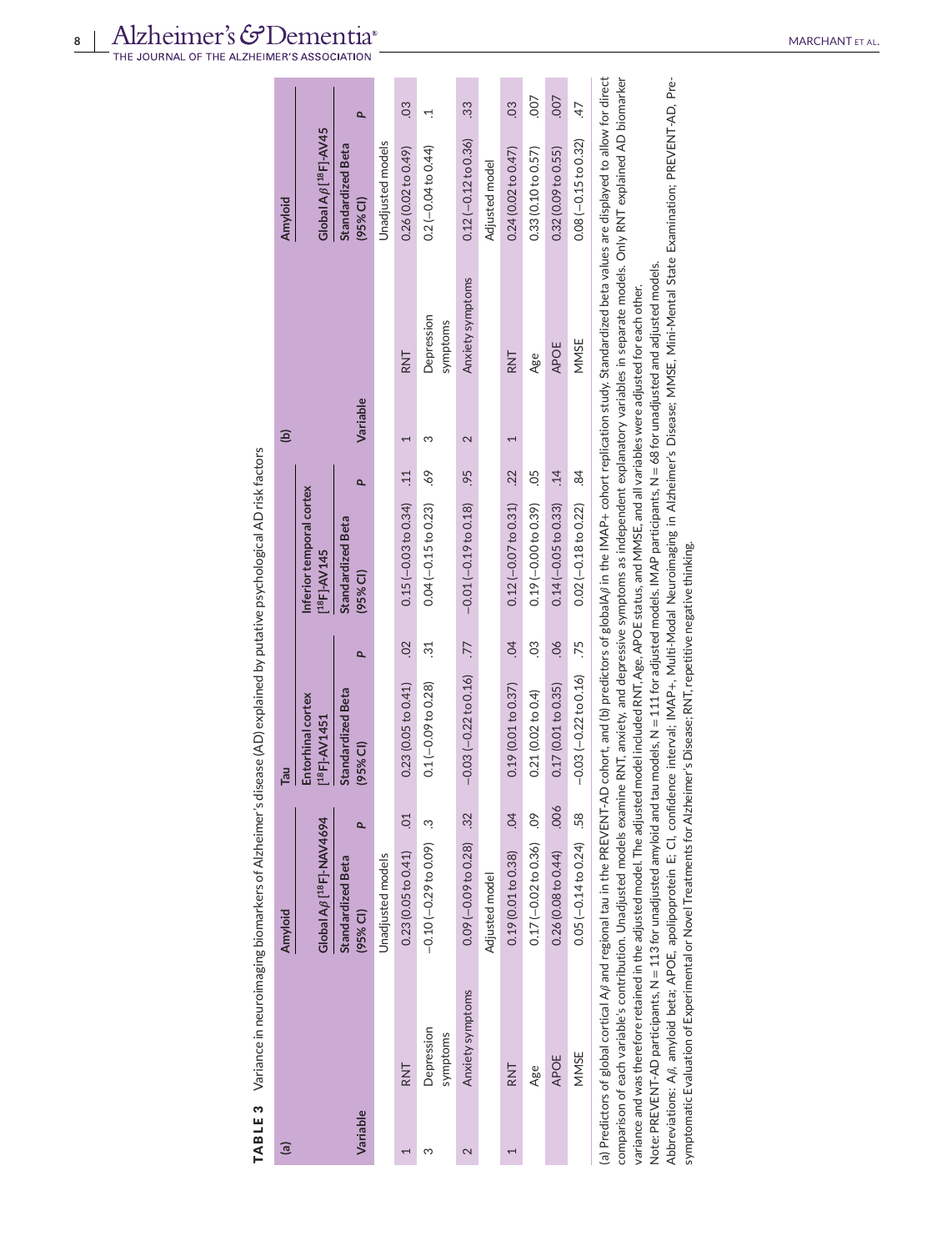TABLE 3 Variance in neuroimaging biomarkers of Alzheimer's disease (AD) explained by putative psychological AD risk factors **TABLE 3** Variance in neuroimaging biomarkers of Alzheimer's disease (AD) explained by putative psychological AD risk factors

| ි        |                                                                                   | Amyloid                              |                | lieg<br>L                                                                                                                                                                                                                    |                 |                                                      |                  | ÎЭ       |                        | Amyloid                                  |                |
|----------|-----------------------------------------------------------------------------------|--------------------------------------|----------------|------------------------------------------------------------------------------------------------------------------------------------------------------------------------------------------------------------------------------|-----------------|------------------------------------------------------|------------------|----------|------------------------|------------------------------------------|----------------|
|          |                                                                                   | Global AB [ <sup>18</sup> F]-NAV4694 |                | Entorhinal cortex<br>$[18F]-AV1451$                                                                                                                                                                                          |                 | Inferior temporal cortex<br>[ <sup>18</sup> F]-AV145 |                  |          |                        | Global A $\beta$ [ <sup>18</sup> F]-AV45 |                |
| Variable |                                                                                   | Standardized Beta<br>(95% CI)        |                | Standardized Beta<br>(95% CI)                                                                                                                                                                                                | ۵               | Standardized Beta<br>(95% CI)                        | Q                | Variable |                        | Standardized Beta<br>(95% CI)            | ۵              |
|          |                                                                                   | Unadjusted models                    |                |                                                                                                                                                                                                                              |                 |                                                      |                  |          |                        | Unadjusted models                        |                |
|          | RNT                                                                               | 0.23(0.05 to 0.41)                   | $\overline{C}$ | 0.23(0.05 to 0.41)                                                                                                                                                                                                           | $\overline{0}$  | $0.15(-0.03 to 0.34)$                                | $\frac{11}{1}$   |          | RNT                    | 0.26(0.02 to 0.49)                       | 03             |
| ო        | Depression<br>symptoms                                                            | $-0.10(-0.29 to 0.09)$ .3            |                | $0.1(-0.09 to 0.28)$                                                                                                                                                                                                         | $\ddot{3}$      | $0.04 (-0.15 to 0.23)$                               | 69.              | ო        | Depression<br>symptoms | $0.2(-0.04 to 0.44)$                     |                |
| 2        | Anxiety symptoms                                                                  | $0.09(-0.09 to 0.28)$                | $\frac{32}{2}$ | $-0.03(-0.22 \text{ to } 0.16)$                                                                                                                                                                                              | $\overline{17}$ | $-0.01(-0.19$ to 0.18)                               | 95               | 2        | Anxiety symptoms       | $0.12$ (-0.12 to 0.36)                   | 33             |
|          |                                                                                   | Adjusted model                       |                |                                                                                                                                                                                                                              |                 |                                                      |                  |          |                        | Adjusted model                           |                |
|          | RNT                                                                               | 0.19(0.01 to 0.38)                   | $\overline{5}$ | 0.19(0.01 to 0.37)                                                                                                                                                                                                           | $\ddot{q}$      | $0.12(-0.07 to 0.31)$ .22                            |                  |          | RNT                    | 0.24(0.02 to 0.47)                       | $\overline{0}$ |
|          | Age                                                                               | $0.17 (-0.02 to 0.36)$ .09           |                | 0.21(0.02 to 0.4)                                                                                                                                                                                                            | C <sub>3</sub>  | $0.19 (-0.00 to 0.39)$                               | 05               |          | Age                    | 0.33(0.10 to 0.57)                       | 007            |
|          | APOE                                                                              | 0.26(0.08 to 0.44)                   | .006           | 0.17(0.01 to 0.35)                                                                                                                                                                                                           | 60              | $0.14 (-0.05 to 0.33)$                               | $\overline{.14}$ |          | APOE                   | 0.32(0.09 to 0.55)                       | .007           |
|          | MMSE                                                                              | $0.05 (-0.14 to 0.24)$               | .58            | $-0.03(-0.22$ to 0.16)                                                                                                                                                                                                       | .75             | $0.02 (-0.18 to 0.22)$                               | 84               |          | MMSE                   | $0.08 (-0.15 to 0.32)$                   | 47             |
|          | A Designational added a distribution in A $\rho$ and a designation in the DDFMF A |                                      |                | the literation of the lead of the lead of ADI calculation income into a strict in the literation of the section of the strict of the strict of the strict of the strict of the strict of the strict of the strict of the str |                 |                                                      |                  |          |                        |                                          |                |

(a) Predictors of global cortical A/3 and regional tau in the PREVENT-AD cohort, and (b) predictors of globalA/3 in the IMAP+ cohort replication study. Standardized beta values are displayed to allow for direct comparison of each variable's contribution. Unadjusted models examine RNT, anxiety, and depressive symptoms as independent explanatory variables in separate models. Only RNT explained AD biomarker Abbreviations: Aß, amyloid beta; APOE, apolipoprotein E; CI, confidence interval; IMAP+, Multi-Modal Neuroimaging in Alzheimer's Disease; MMSE, Mini-Mental State Examination; PREVENT-AD, Pre-(a) Predictors of global cortical A $\beta$  and regional tau in the PREVENT-AD cohort, and (b) predictors of globalA $\beta$  in the IMAP+ cohort replication study. Standardized beta values are displayed to allow for direct comparison of each variable's contribution. Unadjusted models examine RNT, anxiety, and depressive symptoms as independent explanatory variables in separate models. Only RNT explained AD biomarker Abbreviations: A, amyloid beta; APOE, apolipoprotein E; CI, confidence interval; IMAP+, Multi-Modal Neuroimaging in Alzheimer's Disease; MMSE, Mini-Mental State Examination; PREVENT-AD, Pre-Note: PREVENT-AD participants, N = 113 for unadjusted amyloid and tau models, N = 111 for adjusted models. IMAP participants, N = 68 for unadjusted and adjusted models. Note: PREVENT-AD participants, N = 113 for unadjusted amyloid and tau models, N = 111 for adjusted models. IMAP participants, N = 68 for unadjusted and adjusted models. variance and was therefore retained in the adjusted model. The adjusted model included RNT, Age, APOE status, and MMSE, and all variables were adjusted for each other. variance and was therefore retained in the adjusted model. The adjusted model included RNT, Age, APOE status, and MMSE, and all variables were adjusted for each other. symptomatic Evaluation of Experimental or Novel Treatments for Alzheimer's Disease; RNT, repetitive negative thinking. symptomatic Evaluation of Experimental or Novel Treatments for Alzheimer's Disease; RNT, repetitive negative thinking.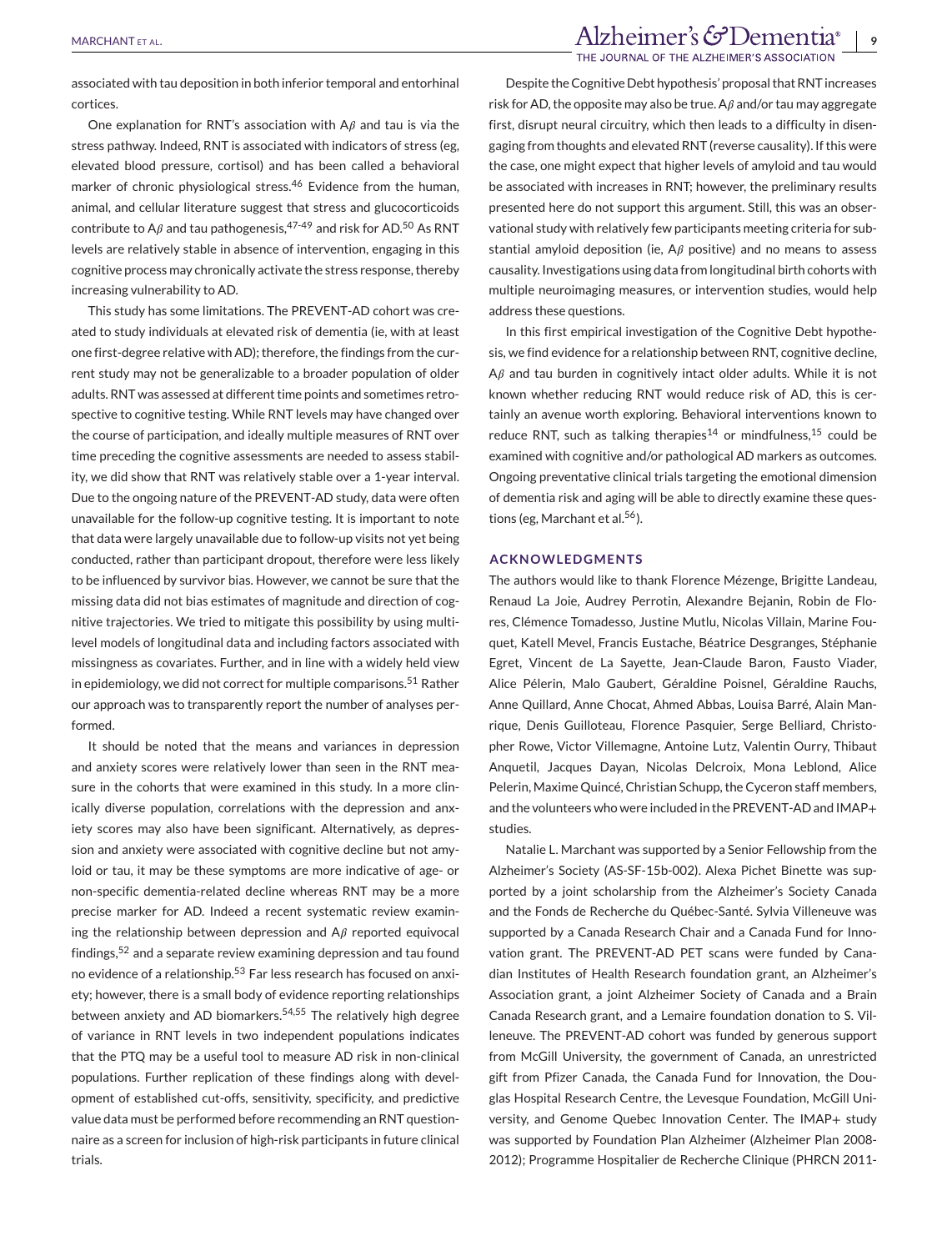# MARCHANTETAL. THE JOURNAL OF THE ALZHEIMER'S ASSOCIATION

associated with tau deposition in both inferior temporal and entorhinal cortices.

One explanation for RNT's association with  $A\beta$  and tau is via the stress pathway. Indeed, RNT is associated with indicators of stress (eg, elevated blood pressure, cortisol) and has been called a behavioral marker of chronic physiological stress.<sup>46</sup> Evidence from the human, animal, and cellular literature suggest that stress and glucocorticoids contribute to A $\beta$  and tau pathogenesis.<sup>47-49</sup> and risk for AD.<sup>50</sup> As RNT levels are relatively stable in absence of intervention, engaging in this cognitive process may chronically activate the stress response, thereby increasing vulnerability to AD.

This study has some limitations. The PREVENT-AD cohort was created to study individuals at elevated risk of dementia (ie, with at least one first-degree relative with AD); therefore, the findings from the current study may not be generalizable to a broader population of older adults. RNT was assessed at different time points and sometimes retrospective to cognitive testing. While RNT levels may have changed over the course of participation, and ideally multiple measures of RNT over time preceding the cognitive assessments are needed to assess stability, we did show that RNT was relatively stable over a 1-year interval. Due to the ongoing nature of the PREVENT-AD study, data were often unavailable for the follow-up cognitive testing. It is important to note that data were largely unavailable due to follow-up visits not yet being conducted, rather than participant dropout, therefore were less likely to be influenced by survivor bias. However, we cannot be sure that the missing data did not bias estimates of magnitude and direction of cognitive trajectories. We tried to mitigate this possibility by using multilevel models of longitudinal data and including factors associated with missingness as covariates. Further, and in line with a widely held view in epidemiology, we did not correct for multiple comparisons.<sup>51</sup> Rather our approach was to transparently report the number of analyses performed.

It should be noted that the means and variances in depression and anxiety scores were relatively lower than seen in the RNT measure in the cohorts that were examined in this study. In a more clinically diverse population, correlations with the depression and anxiety scores may also have been significant. Alternatively, as depression and anxiety were associated with cognitive decline but not amyloid or tau, it may be these symptoms are more indicative of age- or non-specific dementia-related decline whereas RNT may be a more precise marker for AD. Indeed a recent systematic review examining the relationship between depression and  $A\beta$  reported equivocal findings,<sup>52</sup> and a separate review examining depression and tau found no evidence of a relationship.<sup>53</sup> Far less research has focused on anxiety; however, there is a small body of evidence reporting relationships between anxiety and AD biomarkers.<sup>54,55</sup> The relatively high degree of variance in RNT levels in two independent populations indicates that the PTQ may be a useful tool to measure AD risk in non-clinical populations. Further replication of these findings along with development of established cut-offs, sensitivity, specificity, and predictive value data must be performed before recommending an RNT questionnaire as a screen for inclusion of high-risk participants in future clinical trials.

Despite the Cognitive Debt hypothesis' proposal that RNT increases risk for AD, the opposite may also be true. A $\beta$  and/or tau may aggregate first, disrupt neural circuitry, which then leads to a difficulty in disengaging from thoughts and elevated RNT (reverse causality). If this were the case, one might expect that higher levels of amyloid and tau would be associated with increases in RNT; however, the preliminary results presented here do not support this argument. Still, this was an observational study with relatively few participants meeting criteria for substantial amyloid deposition (ie,  $A\beta$  positive) and no means to assess causality. Investigations using data from longitudinal birth cohorts with multiple neuroimaging measures, or intervention studies, would help address these questions.

In this first empirical investigation of the Cognitive Debt hypothesis, we find evidence for a relationship between RNT, cognitive decline,  $A\beta$  and tau burden in cognitively intact older adults. While it is not known whether reducing RNT would reduce risk of AD, this is certainly an avenue worth exploring. Behavioral interventions known to reduce RNT, such as talking therapies<sup>14</sup> or mindfulness,<sup>15</sup> could be examined with cognitive and/or pathological AD markers as outcomes. Ongoing preventative clinical trials targeting the emotional dimension of dementia risk and aging will be able to directly examine these questions (eg, Marchant et al.<sup>56</sup>).

#### **ACKNOWLEDGMENTS**

The authors would like to thank Florence Mézenge, Brigitte Landeau, Renaud La Joie, Audrey Perrotin, Alexandre Bejanin, Robin de Flores, Clémence Tomadesso, Justine Mutlu, Nicolas Villain, Marine Fouquet, Katell Mevel, Francis Eustache, Béatrice Desgranges, Stéphanie Egret, Vincent de La Sayette, Jean-Claude Baron, Fausto Viader, Alice Pélerin, Malo Gaubert, Géraldine Poisnel, Géraldine Rauchs, Anne Quillard, Anne Chocat, Ahmed Abbas, Louisa Barré, Alain Manrique, Denis Guilloteau, Florence Pasquier, Serge Belliard, Christopher Rowe, Victor Villemagne, Antoine Lutz, Valentin Ourry, Thibaut Anquetil, Jacques Dayan, Nicolas Delcroix, Mona Leblond, Alice Pelerin, Maxime Quincé, Christian Schupp, the Cyceron staff members, and the volunteers who were included in the PREVENT-AD and IMAP+ studies.

Natalie L. Marchant was supported by a Senior Fellowship from the Alzheimer's Society (AS-SF-15b-002). Alexa Pichet Binette was supported by a joint scholarship from the Alzheimer's Society Canada and the Fonds de Recherche du Québec-Santé. Sylvia Villeneuve was supported by a Canada Research Chair and a Canada Fund for Innovation grant. The PREVENT-AD PET scans were funded by Canadian Institutes of Health Research foundation grant, an Alzheimer's Association grant, a joint Alzheimer Society of Canada and a Brain Canada Research grant, and a Lemaire foundation donation to S. Villeneuve. The PREVENT-AD cohort was funded by generous support from McGill University, the government of Canada, an unrestricted gift from Pfizer Canada, the Canada Fund for Innovation, the Douglas Hospital Research Centre, the Levesque Foundation, McGill University, and Genome Quebec Innovation Center. The IMAP+ study was supported by Foundation Plan Alzheimer (Alzheimer Plan 2008- 2012); Programme Hospitalier de Recherche Clinique (PHRCN 2011-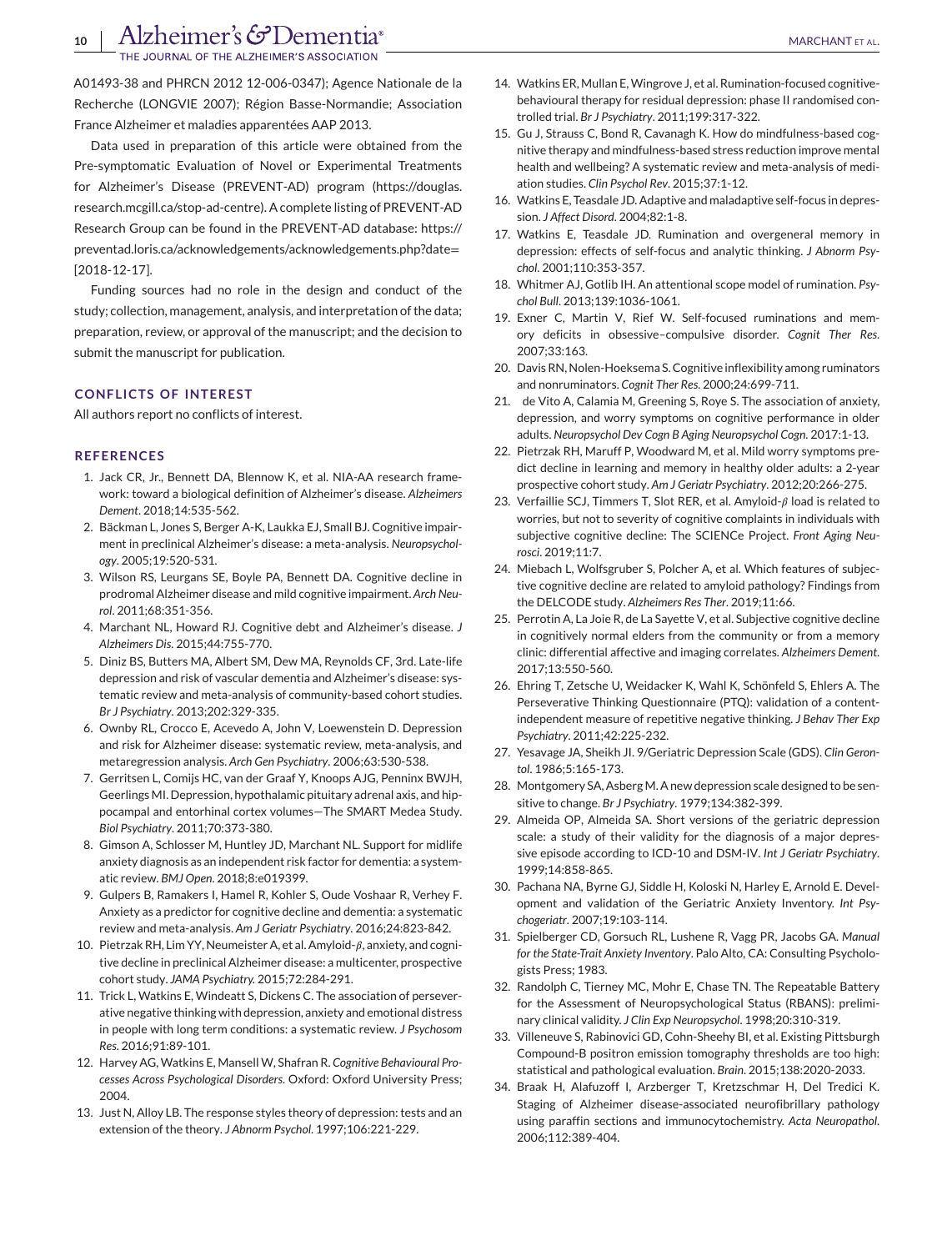A01493-38 and PHRCN 2012 12-006-0347); Agence Nationale de la Recherche (LONGVIE 2007); Région Basse-Normandie; Association France Alzheimer et maladies apparentées AAP 2013.

Data used in preparation of this article were obtained from the Pre-symptomatic Evaluation of Novel or Experimental Treatments for Alzheimer's Disease (PREVENT-AD) program [\(https://douglas.](https://douglas.research.mcgill.ca/stop-ad-centre) [research.mcgill.ca/stop-ad-centre\)](https://douglas.research.mcgill.ca/stop-ad-centre). A complete listing of PREVENT-AD Research Group can be found in the PREVENT-AD database: [https://](https://preventad.loris.ca/acknowledgements/acknowledgements.php?date=[2018-12-17]) [preventad.loris.ca/acknowledgements/acknowledgements.php?date](https://preventad.loris.ca/acknowledgements/acknowledgements.php?date=[2018-12-17])= [\[2018-12-17\].](https://preventad.loris.ca/acknowledgements/acknowledgements.php?date=[2018-12-17])

Funding sources had no role in the design and conduct of the study; collection, management, analysis, and interpretation of the data; preparation, review, or approval of the manuscript; and the decision to submit the manuscript for publication.

#### **CONFLICTS OF INTEREST**

All authors report no conflicts of interest.

#### **REFERENCES**

- 1. Jack CR, Jr., Bennett DA, Blennow K, et al. NIA-AA research framework: toward a biological definition of Alzheimer's disease. *Alzheimers Dement*. 2018;14:535-562.
- 2. Bäckman L, Jones S, Berger A-K, Laukka EJ, Small BJ. Cognitive impairment in preclinical Alzheimer's disease: a meta-analysis. *Neuropsychology*. 2005;19:520-531.
- 3. Wilson RS, Leurgans SE, Boyle PA, Bennett DA. Cognitive decline in prodromal Alzheimer disease and mild cognitive impairment. *Arch Neurol*. 2011;68:351-356.
- 4. Marchant NL, Howard RJ. Cognitive debt and Alzheimer's disease. *J Alzheimers Dis*. 2015;44:755-770.
- 5. Diniz BS, Butters MA, Albert SM, Dew MA, Reynolds CF, 3rd. Late-life depression and risk of vascular dementia and Alzheimer's disease: systematic review and meta-analysis of community-based cohort studies. *Br J Psychiatry*. 2013;202:329-335.
- 6. Ownby RL, Crocco E, Acevedo A, John V, Loewenstein D. Depression and risk for Alzheimer disease: systematic review, meta-analysis, and metaregression analysis. *Arch Gen Psychiatry*. 2006;63:530-538.
- 7. Gerritsen L, Comijs HC, van der Graaf Y, Knoops AJG, Penninx BWJH, Geerlings MI. Depression, hypothalamic pituitary adrenal axis, and hippocampal and entorhinal cortex volumes—The SMART Medea Study. *Biol Psychiatry*. 2011;70:373-380.
- 8. Gimson A, Schlosser M, Huntley JD, Marchant NL. Support for midlife anxiety diagnosis as an independent risk factor for dementia: a systematic review. *BMJ Open*. 2018;8:e019399.
- 9. Gulpers B, Ramakers I, Hamel R, Kohler S, Oude Voshaar R, Verhey F. Anxiety as a predictor for cognitive decline and dementia: a systematic review and meta-analysis. *Am J Geriatr Psychiatry*. 2016;24:823-842.
- 10. Pietrzak RH, Lim YY, Neumeister A, et al. Amyloid- $\beta$ , anxiety, and cognitive decline in preclinical Alzheimer disease: a multicenter, prospective cohort study. *JAMA Psychiatry.* 2015;72:284-291.
- 11. Trick L, Watkins E, Windeatt S, Dickens C. The association of perseverative negative thinking with depression, anxiety and emotional distress in people with long term conditions: a systematic review. *J Psychosom Res*. 2016;91:89-101.
- 12. Harvey AG, Watkins E, Mansell W, Shafran R. *Cognitive Behavioural Processes Across Psychological Disorders*. Oxford: Oxford University Press; 2004.
- 13. Just N, Alloy LB. The response styles theory of depression: tests and an extension of the theory. *J Abnorm Psychol*. 1997;106:221-229.
- 14. Watkins ER, Mullan E,Wingrove J, et al. Rumination-focused cognitivebehavioural therapy for residual depression: phase II randomised controlled trial. *Br J Psychiatry*. 2011;199:317-322.
- 15. Gu J, Strauss C, Bond R, Cavanagh K. How do mindfulness-based cognitive therapy and mindfulness-based stress reduction improve mental health and wellbeing? A systematic review and meta-analysis of mediation studies. *Clin Psychol Rev*. 2015;37:1-12.
- 16. Watkins E, Teasdale JD. Adaptive and maladaptive self-focus in depression. *J Affect Disord*. 2004;82:1-8.
- 17. Watkins E, Teasdale JD. Rumination and overgeneral memory in depression: effects of self-focus and analytic thinking. *J Abnorm Psychol*. 2001;110:353-357.
- 18. Whitmer AJ, Gotlib IH. An attentional scope model of rumination. *Psychol Bull*. 2013;139:1036-1061.
- 19. Exner C, Martin V, Rief W. Self-focused ruminations and memory deficits in obsessive–compulsive disorder. *Cognit Ther Res*. 2007;33:163.
- 20. Davis RN, Nolen-Hoeksema S. Cognitive inflexibility among ruminators and nonruminators. *Cognit Ther Res*. 2000;24:699-711.
- 21. de Vito A, Calamia M, Greening S, Roye S. The association of anxiety, depression, and worry symptoms on cognitive performance in older adults. *Neuropsychol Dev Cogn B Aging Neuropsychol Cogn*. 2017:1-13.
- 22. Pietrzak RH, Maruff P, Woodward M, et al. Mild worry symptoms predict decline in learning and memory in healthy older adults: a 2-year prospective cohort study. *Am J Geriatr Psychiatry*. 2012;20:266-275.
- 23. Verfaillie SCJ, Timmers T, Slot RER, et al. Amyloid- $\beta$  load is related to worries, but not to severity of cognitive complaints in individuals with subjective cognitive decline: The SCIENCe Project. *Front Aging Neurosci*. 2019;11:7.
- 24. Miebach L, Wolfsgruber S, Polcher A, et al. Which features of subjective cognitive decline are related to amyloid pathology? Findings from the DELCODE study. *Alzheimers Res Ther*. 2019;11:66.
- 25. Perrotin A, La Joie R, de La Sayette V, et al. Subjective cognitive decline in cognitively normal elders from the community or from a memory clinic: differential affective and imaging correlates. *Alzheimers Dement*. 2017;13:550-560.
- 26. Ehring T, Zetsche U, Weidacker K, Wahl K, Schönfeld S, Ehlers A. The Perseverative Thinking Questionnaire (PTQ): validation of a contentindependent measure of repetitive negative thinking. *J Behav Ther Exp Psychiatry*. 2011;42:225-232.
- 27. Yesavage JA, Sheikh JI. 9/Geriatric Depression Scale (GDS). *Clin Gerontol*. 1986;5:165-173.
- 28. Montgomery SA, Asberg M. A new depression scale designed to be sensitive to change. *Br J Psychiatry*. 1979;134:382-399.
- 29. Almeida OP, Almeida SA. Short versions of the geriatric depression scale: a study of their validity for the diagnosis of a major depressive episode according to ICD-10 and DSM-IV. *Int J Geriatr Psychiatry*. 1999;14:858-865.
- 30. Pachana NA, Byrne GJ, Siddle H, Koloski N, Harley E, Arnold E. Development and validation of the Geriatric Anxiety Inventory. *Int Psychogeriatr*. 2007;19:103-114.
- 31. Spielberger CD, Gorsuch RL, Lushene R, Vagg PR, Jacobs GA. *Manual for the State-Trait Anxiety Inventory*. Palo Alto, CA: Consulting Psychologists Press; 1983.
- 32. Randolph C, Tierney MC, Mohr E, Chase TN. The Repeatable Battery for the Assessment of Neuropsychological Status (RBANS): preliminary clinical validity. *J Clin Exp Neuropsychol*. 1998;20:310-319.
- 33. Villeneuve S, Rabinovici GD, Cohn-Sheehy BI, et al. Existing Pittsburgh Compound-B positron emission tomography thresholds are too high: statistical and pathological evaluation. *Brain*. 2015;138:2020-2033.
- 34. Braak H, Alafuzoff I, Arzberger T, Kretzschmar H, Del Tredici K. Staging of Alzheimer disease-associated neurofibrillary pathology using paraffin sections and immunocytochemistry. *Acta Neuropathol*. 2006;112:389-404.